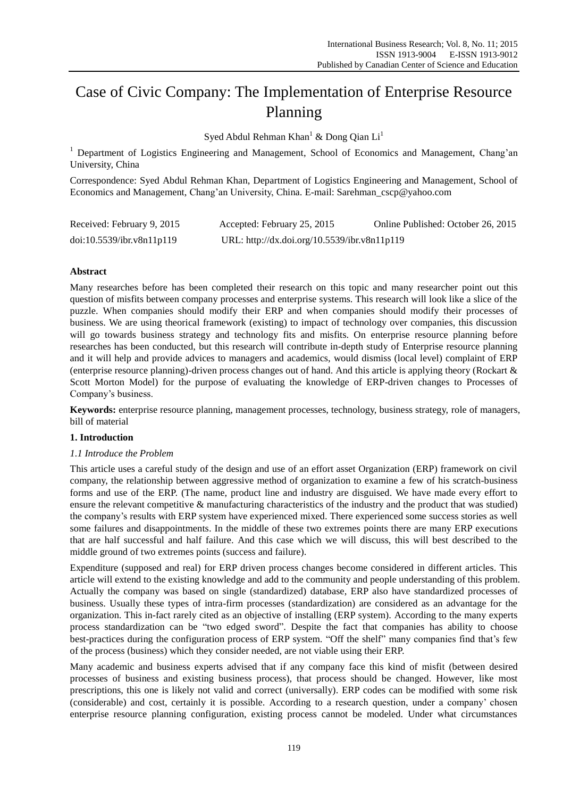# Case of Civic Company: The Implementation of Enterprise Resource Planning

Syed Abdul Rehman Khan<sup>1</sup> & Dong Qian Li<sup>1</sup>

<sup>1</sup> Department of Logistics Engineering and Management, School of Economics and Management, Chang'an University, China

Correspondence: Syed Abdul Rehman Khan, Department of Logistics Engineering and Management, School of Economics and Management, Chang'an University, China. E-mail: Sarehman\_cscp@yahoo.com

| Received: February 9, 2015 | Accepted: February 25, 2015                  | Online Published: October 26, 2015 |
|----------------------------|----------------------------------------------|------------------------------------|
| doi:10.5539/ibr.v8n11p119  | URL: http://dx.doi.org/10.5539/ibr.v8n11p119 |                                    |

# **Abstract**

Many researches before has been completed their research on this topic and many researcher point out this question of misfits between company processes and enterprise systems. This research will look like a slice of the puzzle. When companies should modify their ERP and when companies should modify their processes of business. We are using theorical framework (existing) to impact of technology over companies, this discussion will go towards business strategy and technology fits and misfits. On enterprise resource planning before researches has been conducted, but this research will contribute in-depth study of Enterprise resource planning and it will help and provide advices to managers and academics, would dismiss (local level) complaint of ERP (enterprise resource planning)-driven process changes out of hand. And this article is applying theory (Rockart & Scott Morton Model) for the purpose of evaluating the knowledge of ERP-driven changes to Processes of Company's business.

**Keywords:** enterprise resource planning, management processes, technology, business strategy, role of managers, bill of material

# **1. Introduction**

# *1.1 Introduce the Problem*

This article uses a careful study of the design and use of an effort asset Organization (ERP) framework on civil company, the relationship between aggressive method of organization to examine a few of his scratch-business forms and use of the ERP. (The name, product line and industry are disguised. We have made every effort to ensure the relevant competitive & manufacturing characteristics of the industry and the product that was studied) the company's results with ERP system have experienced mixed. There experienced some success stories as well some failures and disappointments. In the middle of these two extremes points there are many ERP executions that are half successful and half failure. And this case which we will discuss, this will best described to the middle ground of two extremes points (success and failure).

Expenditure (supposed and real) for ERP driven process changes become considered in different articles. This article will extend to the existing knowledge and add to the community and people understanding of this problem. Actually the company was based on single (standardized) database, ERP also have standardized processes of business. Usually these types of intra-firm processes (standardization) are considered as an advantage for the organization. This in-fact rarely cited as an objective of installing (ERP system). According to the many experts process standardization can be "two edged sword". Despite the fact that companies has ability to choose best-practices during the configuration process of ERP system. "Off the shelf" many companies find that's few of the process (business) which they consider needed, are not viable using their ERP.

Many academic and business experts advised that if any company face this kind of misfit (between desired processes of business and existing business process), that process should be changed. However, like most prescriptions, this one is likely not valid and correct (universally). ERP codes can be modified with some risk (considerable) and cost, certainly it is possible. According to a research question, under a company' chosen enterprise resource planning configuration, existing process cannot be modeled. Under what circumstances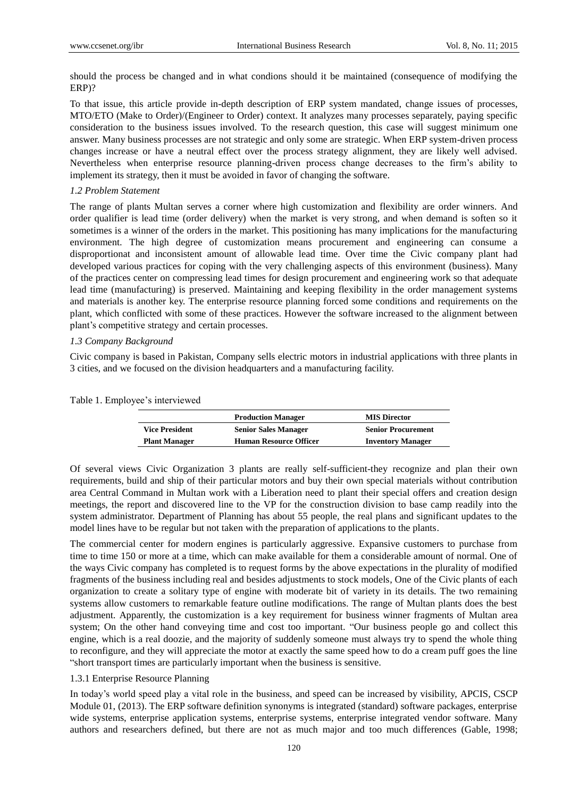should the process be changed and in what condions should it be maintained (consequence of modifying the ERP)?

To that issue, this article provide in-depth description of ERP system mandated, change issues of processes, MTO/ETO (Make to Order)/(Engineer to Order) context. It analyzes many processes separately, paying specific consideration to the business issues involved. To the research question, this case will suggest minimum one answer. Many business processes are not strategic and only some are strategic. When ERP system-driven process changes increase or have a neutral effect over the process strategy alignment, they are likely well advised. Nevertheless when enterprise resource planning-driven process change decreases to the firm's ability to implement its strategy, then it must be avoided in favor of changing the software.

# *1.2 Problem Statement*

The range of plants Multan serves a corner where high customization and flexibility are order winners. And order qualifier is lead time (order delivery) when the market is very strong, and when demand is soften so it sometimes is a winner of the orders in the market. This positioning has many implications for the manufacturing environment. The high degree of customization means procurement and engineering can consume a disproportionat and inconsistent amount of allowable lead time. Over time the Civic company plant had developed various practices for coping with the very challenging aspects of this environment (business). Many of the practices center on compressing lead times for design procurement and engineering work so that adequate lead time (manufacturing) is preserved. Maintaining and keeping flexibility in the order management systems and materials is another key. The enterprise resource planning forced some conditions and requirements on the plant, which conflicted with some of these practices. However the software increased to the alignment between plant's competitive strategy and certain processes.

#### *1.3 Company Background*

Civic company is based in Pakistan, Company sells electric motors in industrial applications with three plants in 3 cities, and we focused on the division headquarters and a manufacturing facility.

| Table 1. Employee's interviewed |
|---------------------------------|
|---------------------------------|

|                       | <b>Production Manager</b>     | <b>MIS Director</b>       |
|-----------------------|-------------------------------|---------------------------|
| <b>Vice President</b> | <b>Senior Sales Manager</b>   | <b>Senior Procurement</b> |
| <b>Plant Manager</b>  | <b>Human Resource Officer</b> | <b>Inventory Manager</b>  |

Of several views Civic Organization 3 plants are really self-sufficient-they recognize and plan their own requirements, build and ship of their particular motors and buy their own special materials without contribution area Central Command in Multan work with a Liberation need to plant their special offers and creation design meetings, the report and discovered line to the VP for the construction division to base camp readily into the system administrator. Department of Planning has about 55 people, the real plans and significant updates to the model lines have to be regular but not taken with the preparation of applications to the plants.

The commercial center for modern engines is particularly aggressive. Expansive customers to purchase from time to time 150 or more at a time, which can make available for them a considerable amount of normal. One of the ways Civic company has completed is to request forms by the above expectations in the plurality of modified fragments of the business including real and besides adjustments to stock models, One of the Civic plants of each organization to create a solitary type of engine with moderate bit of variety in its details. The two remaining systems allow customers to remarkable feature outline modifications. The range of Multan plants does the best adjustment. Apparently, the customization is a key requirement for business winner fragments of Multan area system; On the other hand conveying time and cost too important. "Our business people go and collect this engine, which is a real doozie, and the majority of suddenly someone must always try to spend the whole thing to reconfigure, and they will appreciate the motor at exactly the same speed how to do a cream puff goes the line "short transport times are particularly important when the business is sensitive.

#### 1.3.1 Enterprise Resource Planning

In today's world speed play a vital role in the business, and speed can be increased by visibility, APCIS, CSCP Module 01, (2013). The ERP software definition synonyms is integrated (standard) software packages, enterprise wide systems, enterprise application systems, enterprise systems, enterprise integrated vendor software. Many authors and researchers defined, but there are not as much major and too much differences (Gable, 1998;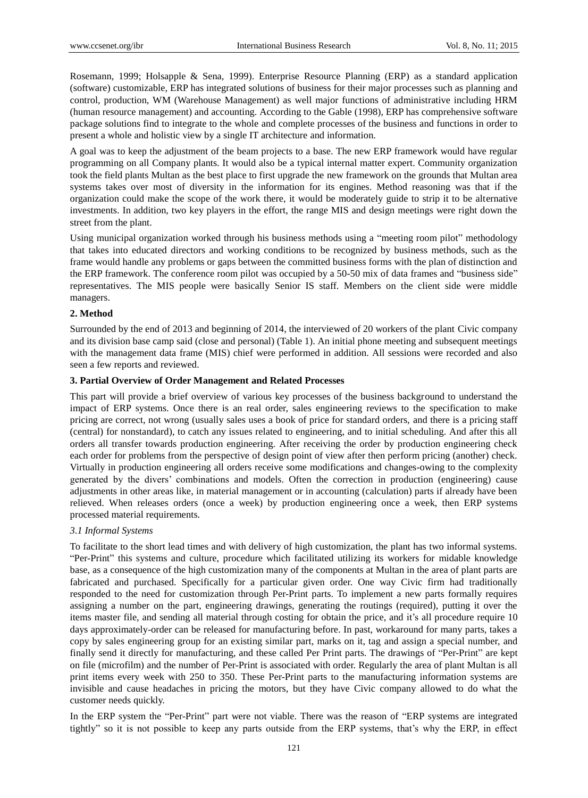Rosemann, 1999; Holsapple & Sena, 1999). Enterprise Resource Planning (ERP) as a standard application (software) customizable, ERP has integrated solutions of business for their major processes such as planning and control, production, WM (Warehouse Management) as well major functions of administrative including HRM (human resource management) and accounting. According to the Gable (1998), ERP has comprehensive software package solutions find to integrate to the whole and complete processes of the business and functions in order to present a whole and holistic view by a single IT architecture and information.

A goal was to keep the adjustment of the beam projects to a base. The new ERP framework would have regular programming on all Company plants. It would also be a typical internal matter expert. Community organization took the field plants Multan as the best place to first upgrade the new framework on the grounds that Multan area systems takes over most of diversity in the information for its engines. Method reasoning was that if the organization could make the scope of the work there, it would be moderately guide to strip it to be alternative investments. In addition, two key players in the effort, the range MIS and design meetings were right down the street from the plant.

Using municipal organization worked through his business methods using a "meeting room pilot" methodology that takes into educated directors and working conditions to be recognized by business methods, such as the frame would handle any problems or gaps between the committed business forms with the plan of distinction and the ERP framework. The conference room pilot was occupied by a 50-50 mix of data frames and "business side" representatives. The MIS people were basically Senior IS staff. Members on the client side were middle managers.

#### **2. Method**

Surrounded by the end of 2013 and beginning of 2014, the interviewed of 20 workers of the plant Civic company and its division base camp said (close and personal) (Table 1). An initial phone meeting and subsequent meetings with the management data frame (MIS) chief were performed in addition. All sessions were recorded and also seen a few reports and reviewed.

#### **3. Partial Overview of Order Management and Related Processes**

This part will provide a brief overview of various key processes of the business background to understand the impact of ERP systems. Once there is an real order, sales engineering reviews to the specification to make pricing are correct, not wrong (usually sales uses a book of price for standard orders, and there is a pricing staff (central) for nonstandard), to catch any issues related to engineering, and to initial scheduling. And after this all orders all transfer towards production engineering. After receiving the order by production engineering check each order for problems from the perspective of design point of view after then perform pricing (another) check. Virtually in production engineering all orders receive some modifications and changes-owing to the complexity generated by the divers' combinations and models. Often the correction in production (engineering) cause adjustments in other areas like, in material management or in accounting (calculation) parts if already have been relieved. When releases orders (once a week) by production engineering once a week, then ERP systems processed material requirements.

# *3.1 Informal Systems*

To facilitate to the short lead times and with delivery of high customization, the plant has two informal systems. "Per-Print" this systems and culture, procedure which facilitated utilizing its workers for midable knowledge base, as a consequence of the high customization many of the components at Multan in the area of plant parts are fabricated and purchased. Specifically for a particular given order. One way Civic firm had traditionally responded to the need for customization through Per-Print parts. To implement a new parts formally requires assigning a number on the part, engineering drawings, generating the routings (required), putting it over the items master file, and sending all material through costing for obtain the price, and it's all procedure require 10 days approximately-order can be released for manufacturing before. In past, workaround for many parts, takes a copy by sales engineering group for an existing similar part, marks on it, tag and assign a special number, and finally send it directly for manufacturing, and these called Per Print parts. The drawings of "Per-Print" are kept on file (microfilm) and the number of Per-Print is associated with order. Regularly the area of plant Multan is all print items every week with 250 to 350. These Per-Print parts to the manufacturing information systems are invisible and cause headaches in pricing the motors, but they have Civic company allowed to do what the customer needs quickly.

In the ERP system the "Per-Print" part were not viable. There was the reason of "ERP systems are integrated tightly" so it is not possible to keep any parts outside from the ERP systems, that's why the ERP, in effect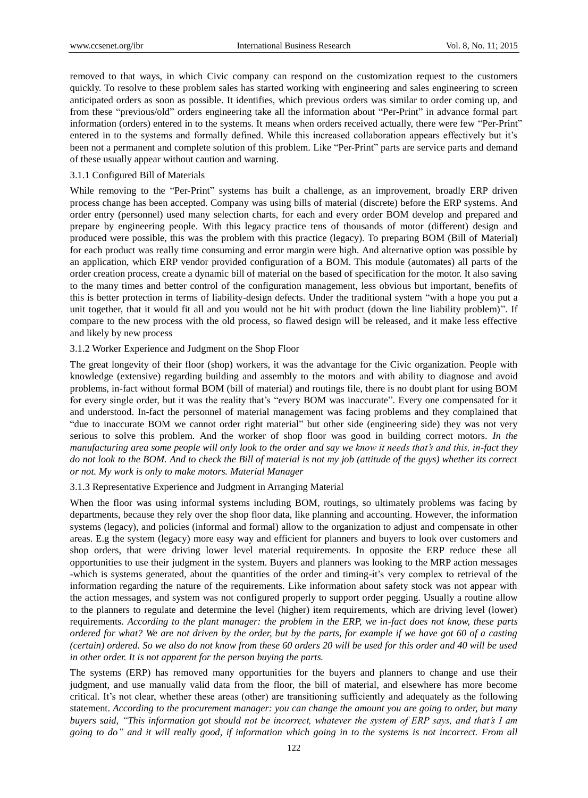removed to that ways, in which Civic company can respond on the customization request to the customers quickly. To resolve to these problem sales has started working with engineering and sales engineering to screen anticipated orders as soon as possible. It identifies, which previous orders was similar to order coming up, and from these "previous/old" orders engineering take all the information about "Per-Print" in advance formal part information (orders) entered in to the systems. It means when orders received actually, there were few "Per-Print" entered in to the systems and formally defined. While this increased collaboration appears effectively but it's been not a permanent and complete solution of this problem. Like "Per-Print" parts are service parts and demand of these usually appear without caution and warning.

# 3.1.1 Configured Bill of Materials

While removing to the "Per-Print" systems has built a challenge, as an improvement, broadly ERP driven process change has been accepted. Company was using bills of material (discrete) before the ERP systems. And order entry (personnel) used many selection charts, for each and every order BOM develop and prepared and prepare by engineering people. With this legacy practice tens of thousands of motor (different) design and produced were possible, this was the problem with this practice (legacy). To preparing BOM (Bill of Material) for each product was really time consuming and error margin were high. And alternative option was possible by an application, which ERP vendor provided configuration of a BOM. This module (automates) all parts of the order creation process, create a dynamic bill of material on the based of specification for the motor. It also saving to the many times and better control of the configuration management, less obvious but important, benefits of this is better protection in terms of liability-design defects. Under the traditional system "with a hope you put a unit together, that it would fit all and you would not be hit with product (down the line liability problem)". If compare to the new process with the old process, so flawed design will be released, and it make less effective and likely by new process

#### 3.1.2 Worker Experience and Judgment on the Shop Floor

The great longevity of their floor (shop) workers, it was the advantage for the Civic organization. People with knowledge (extensive) regarding building and assembly to the motors and with ability to diagnose and avoid problems, in-fact without formal BOM (bill of material) and routings file, there is no doubt plant for using BOM for every single order, but it was the reality that's "every BOM was inaccurate". Every one compensated for it and understood. In-fact the personnel of material management was facing problems and they complained that "due to inaccurate BOM we cannot order right material" but other side (engineering side) they was not very serious to solve this problem. And the worker of shop floor was good in building correct motors. *In the manufacturing area some people will only look to the order and say we know it needs that's and this, in-fact they do not look to the BOM. And to check the Bill of material is not my job (attitude of the guys) whether its correct or not. My work is only to make motors. Material Manager*

#### 3.1.3 Representative Experience and Judgment in Arranging Material

When the floor was using informal systems including BOM, routings, so ultimately problems was facing by departments, because they rely over the shop floor data, like planning and accounting. However, the information systems (legacy), and policies (informal and formal) allow to the organization to adjust and compensate in other areas. E.g the system (legacy) more easy way and efficient for planners and buyers to look over customers and shop orders, that were driving lower level material requirements. In opposite the ERP reduce these all opportunities to use their judgment in the system. Buyers and planners was looking to the MRP action messages -which is systems generated, about the quantities of the order and timing-it's very complex to retrieval of the information regarding the nature of the requirements. Like information about safety stock was not appear with the action messages, and system was not configured properly to support order pegging. Usually a routine allow to the planners to regulate and determine the level (higher) item requirements, which are driving level (lower) requirements. *According to the plant manager: the problem in the ERP, we in-fact does not know, these parts ordered for what? We are not driven by the order, but by the parts, for example if we have got 60 of a casting (certain) ordered. So we also do not know from these 60 orders 20 will be used for this order and 40 will be used in other order. It is not apparent for the person buying the parts.*

The systems (ERP) has removed many opportunities for the buyers and planners to change and use their judgment, and use manually valid data from the floor, the bill of material, and elsewhere has more become critical. It's not clear, whether these areas (other) are transitioning sufficiently and adequately as the following statement. *According to the procurement manager: you can change the amount you are going to order, but many buyers said, "This information got should not be incorrect, whatever the system of ERP says, and that's I am going to do" and it will really good, if information which going in to the systems is not incorrect. From all*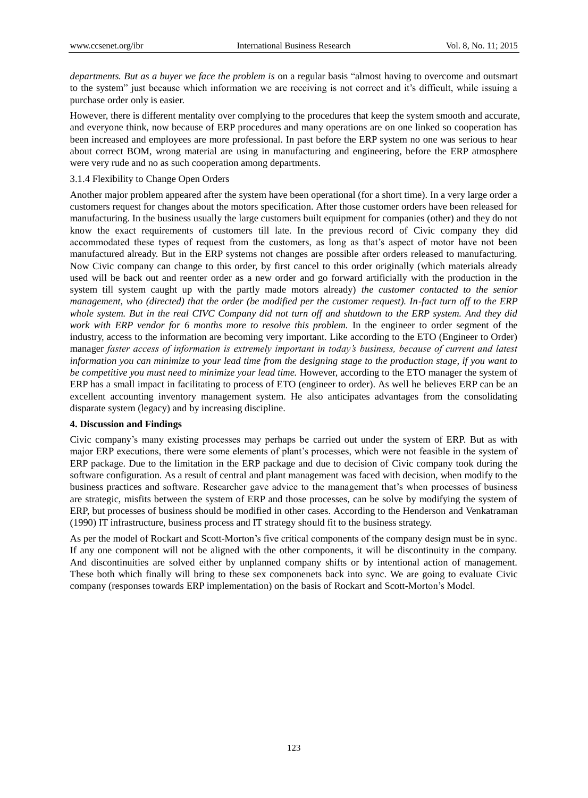*departments. But as a buyer we face the problem is* on a regular basis "almost having to overcome and outsmart to the system" just because which information we are receiving is not correct and it's difficult, while issuing a purchase order only is easier.

However, there is different mentality over complying to the procedures that keep the system smooth and accurate, and everyone think, now because of ERP procedures and many operations are on one linked so cooperation has been increased and employees are more professional. In past before the ERP system no one was serious to hear about correct BOM, wrong material are using in manufacturing and engineering, before the ERP atmosphere were very rude and no as such cooperation among departments.

#### 3.1.4 Flexibility to Change Open Orders

Another major problem appeared after the system have been operational (for a short time). In a very large order a customers request for changes about the motors specification. After those customer orders have been released for manufacturing. In the business usually the large customers built equipment for companies (other) and they do not know the exact requirements of customers till late. In the previous record of Civic company they did accommodated these types of request from the customers, as long as that's aspect of motor have not been manufactured already. But in the ERP systems not changes are possible after orders released to manufacturing. Now Civic company can change to this order, by first cancel to this order originally (which materials already used will be back out and reenter order as a new order and go forward artificially with the production in the system till system caught up with the partly made motors already) *the customer contacted to the senior management, who (directed) that the order (be modified per the customer request). In-fact turn off to the ERP whole system. But in the real CIVC Company did not turn off and shutdown to the ERP system. And they did work with ERP vendor for 6 months more to resolve this problem.* In the engineer to order segment of the industry, access to the information are becoming very important. Like according to the ETO (Engineer to Order) manager *faster access of information is extremely important in today's business, because of current and latest information you can minimize to your lead time from the designing stage to the production stage, if you want to be competitive you must need to minimize your lead time.* However, according to the ETO manager the system of ERP has a small impact in facilitating to process of ETO (engineer to order). As well he believes ERP can be an excellent accounting inventory management system. He also anticipates advantages from the consolidating disparate system (legacy) and by increasing discipline.

#### **4. Discussion and Findings**

Civic company's many existing processes may perhaps be carried out under the system of ERP. But as with major ERP executions, there were some elements of plant's processes, which were not feasible in the system of ERP package. Due to the limitation in the ERP package and due to decision of Civic company took during the software configuration. As a result of central and plant management was faced with decision, when modify to the business practices and software. Researcher gave advice to the management that's when processes of business are strategic, misfits between the system of ERP and those processes, can be solve by modifying the system of ERP, but processes of business should be modified in other cases. According to the Henderson and Venkatraman (1990) IT infrastructure, business process and IT strategy should fit to the business strategy.

As per the model of Rockart and Scott-Morton's five critical components of the company design must be in sync. If any one component will not be aligned with the other components, it will be discontinuity in the company. And discontinuities are solved either by unplanned company shifts or by intentional action of management. These both which finally will bring to these sex componenets back into sync. We are going to evaluate Civic company (responses towards ERP implementation) on the basis of Rockart and Scott-Morton's Model.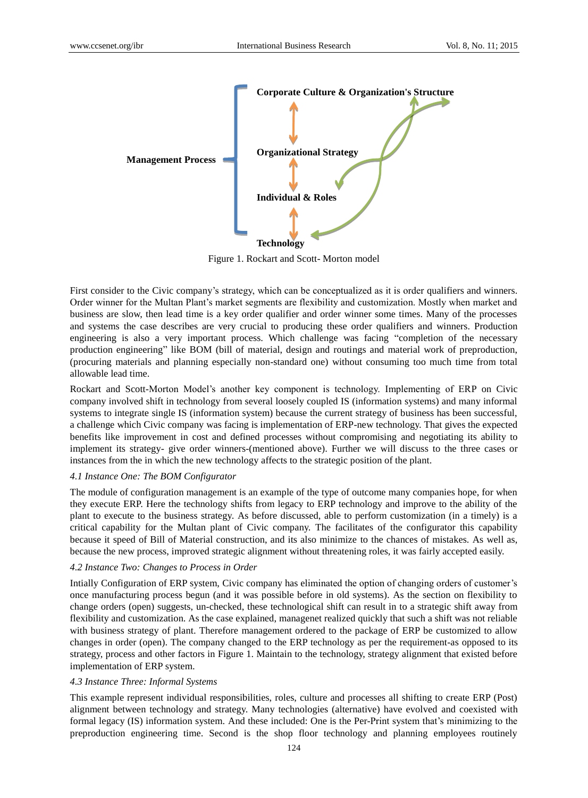

Figure 1. Rockart and Scott- Morton model

First consider to the Civic company's strategy, which can be conceptualized as it is order qualifiers and winners. Order winner for the Multan Plant's market segments are flexibility and customization. Mostly when market and business are slow, then lead time is a key order qualifier and order winner some times. Many of the processes and systems the case describes are very crucial to producing these order qualifiers and winners. Production engineering is also a very important process. Which challenge was facing "completion of the necessary production engineering" like BOM (bill of material, design and routings and material work of preproduction, (procuring materials and planning especially non-standard one) without consuming too much time from total allowable lead time.

Rockart and Scott-Morton Model's another key component is technology. Implementing of ERP on Civic company involved shift in technology from several loosely coupled IS (information systems) and many informal systems to integrate single IS (information system) because the current strategy of business has been successful, a challenge which Civic company was facing is implementation of ERP-new technology. That gives the expected benefits like improvement in cost and defined processes without compromising and negotiating its ability to implement its strategy- give order winners-(mentioned above). Further we will discuss to the three cases or instances from the in which the new technology affects to the strategic position of the plant.

# *4.1 Instance One: The BOM Configurator*

The module of configuration management is an example of the type of outcome many companies hope, for when they execute ERP. Here the technology shifts from legacy to ERP technology and improve to the ability of the plant to execute to the business strategy. As before discussed, able to perform customization (in a timely) is a critical capability for the Multan plant of Civic company. The facilitates of the configurator this capability because it speed of Bill of Material construction, and its also minimize to the chances of mistakes. As well as, because the new process, improved strategic alignment without threatening roles, it was fairly accepted easily.

#### *4.2 Instance Two: Changes to Process in Order*

Intially Configuration of ERP system, Civic company has eliminated the option of changing orders of customer's once manufacturing process begun (and it was possible before in old systems). As the section on flexibility to change orders (open) suggests, un-checked, these technological shift can result in to a strategic shift away from flexibility and customization. As the case explained, managenet realized quickly that such a shift was not reliable with business strategy of plant. Therefore management ordered to the package of ERP be customized to allow changes in order (open). The company changed to the ERP technology as per the requirement-as opposed to its strategy, process and other factors in Figure 1. Maintain to the technology, strategy alignment that existed before implementation of ERP system.

## *4.3 Instance Three: Informal Systems*

This example represent individual responsibilities, roles, culture and processes all shifting to create ERP (Post) alignment between technology and strategy. Many technologies (alternative) have evolved and coexisted with formal legacy (IS) information system. And these included: One is the Per-Print system that's minimizing to the preproduction engineering time. Second is the shop floor technology and planning employees routinely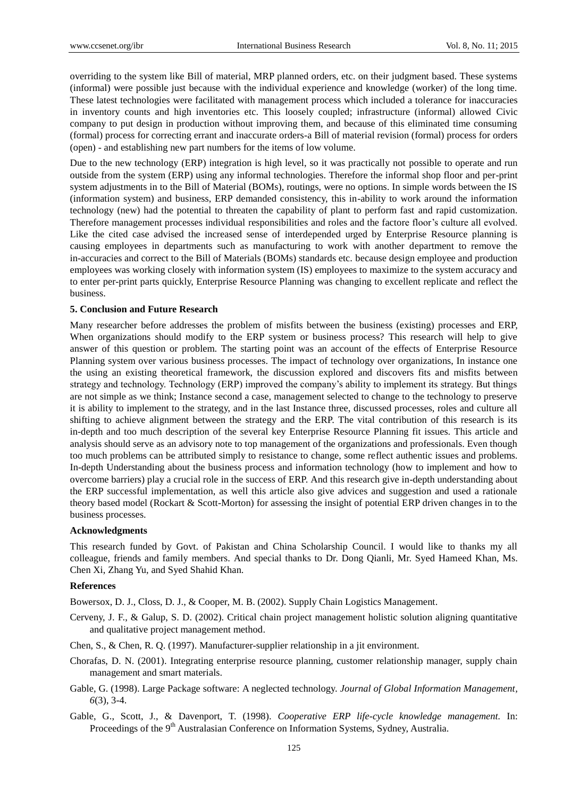overriding to the system like Bill of material, MRP planned orders, etc. on their judgment based. These systems (informal) were possible just because with the individual experience and knowledge (worker) of the long time. These latest technologies were facilitated with management process which included a tolerance for inaccuracies in inventory counts and high inventories etc. This loosely coupled; infrastructure (informal) allowed Civic company to put design in production without improving them, and because of this eliminated time consuming (formal) process for correcting errant and inaccurate orders-a Bill of material revision (formal) process for orders (open) - and establishing new part numbers for the items of low volume.

Due to the new technology (ERP) integration is high level, so it was practically not possible to operate and run outside from the system (ERP) using any informal technologies. Therefore the informal shop floor and per-print system adjustments in to the Bill of Material (BOMs), routings, were no options. In simple words between the IS (information system) and business, ERP demanded consistency, this in-ability to work around the information technology (new) had the potential to threaten the capability of plant to perform fast and rapid customization. Therefore management processes individual responsibilities and roles and the factore floor's culture all evolved. Like the cited case advised the increased sense of interdepended urged by Enterprise Resource planning is causing employees in departments such as manufacturing to work with another department to remove the in-accuracies and correct to the Bill of Materials (BOMs) standards etc. because design employee and production employees was working closely with information system (IS) employees to maximize to the system accuracy and to enter per-print parts quickly, Enterprise Resource Planning was changing to excellent replicate and reflect the business.

## **5. Conclusion and Future Research**

Many researcher before addresses the problem of misfits between the business (existing) processes and ERP, When organizations should modify to the ERP system or business process? This research will help to give answer of this question or problem. The starting point was an account of the effects of Enterprise Resource Planning system over various business processes. The impact of technology over organizations, In instance one the using an existing theoretical framework, the discussion explored and discovers fits and misfits between strategy and technology. Technology (ERP) improved the company's ability to implement its strategy. But things are not simple as we think; Instance second a case, management selected to change to the technology to preserve it is ability to implement to the strategy, and in the last Instance three, discussed processes, roles and culture all shifting to achieve alignment between the strategy and the ERP. The vital contribution of this research is its in-depth and too much description of the several key Enterprise Resource Planning fit issues. This article and analysis should serve as an advisory note to top management of the organizations and professionals. Even though too much problems can be attributed simply to resistance to change, some reflect authentic issues and problems. In-depth Understanding about the business process and information technology (how to implement and how to overcome barriers) play a crucial role in the success of ERP. And this research give in-depth understanding about the ERP successful implementation, as well this article also give advices and suggestion and used a rationale theory based model (Rockart & Scott-Morton) for assessing the insight of potential ERP driven changes in to the business processes.

#### **Acknowledgments**

This research funded by Govt. of Pakistan and China Scholarship Council. I would like to thanks my all colleague, friends and family members. And special thanks to Dr. Dong Qianli, Mr. Syed Hameed Khan, Ms. Chen Xi, Zhang Yu, and Syed Shahid Khan.

#### **References**

Bowersox, D. J., Closs, D. J., & Cooper, M. B. (2002). Supply Chain Logistics Management.

- Cerveny, J. F., & Galup, S. D. (2002). Critical chain project management holistic solution aligning quantitative and qualitative project management method.
- Chen, S., & Chen, R. Q. (1997). Manufacturer-supplier relationship in a jit environment.
- Chorafas, D. N. (2001). Integrating enterprise resource planning, customer relationship manager, supply chain management and smart materials.
- Gable, G. (1998). Large Package software: A neglected technology. *Journal of Global Information Management, 6*(3), 3-4.
- Gable, G., Scott, J., & Davenport, T. (1998). *Cooperative ERP life-cycle knowledge management.* In: Proceedings of the 9<sup>th</sup> Australasian Conference on Information Systems, Sydney, Australia.